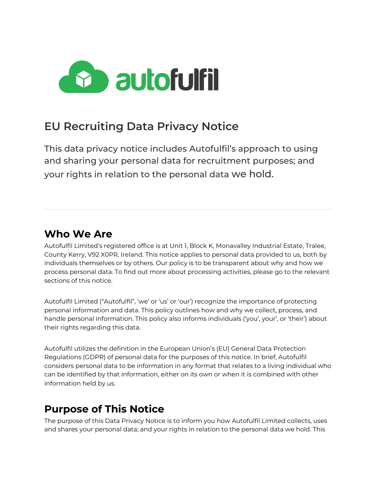

# **EU Recruiting Data Privacy Notice**

This data privacy notice includes Autofulfil's approach to using and sharing your personal data for recruitment purposes; and your rights in relation to the personal data we hold.

### **Who We Are**

Autofulfil Limited's registered office is at Unit 1, Block K, Monavalley Industrial Estate, Tralee, County Kerry, V92 X0PR, Ireland. This notice applies to personal data provided to us, both by individuals themselves or by others. Our policy is to be transparent about why and how we process personal data. To find out more about processing activities, please go to the relevant sections of this notice.

Autofulfil Limited ("Autofulfil", 'we' or 'us' or 'our') recognize the importance of protecting personal information and data. This policy outlines how and why we collect, process, and handle personal information. This policy also informs individuals ('you', your', or 'their') about their rights regarding this data.

Autofulfil utilizes the definition in the European Union's (EU) General Data Protection Regulations (GDPR) of personal data for the purposes of this notice. In brief, Autofulfil considers personal data to be information in any format that relates to a living individual who can be identified by that information, either on its own or when it is combined with other information held by us.

# **Purpose of This Notice**

The purpose of this Data Privacy Notice is to inform you how Autofulfil Limited collects, uses and shares your personal data; and your rights in relation to the personal data we hold. This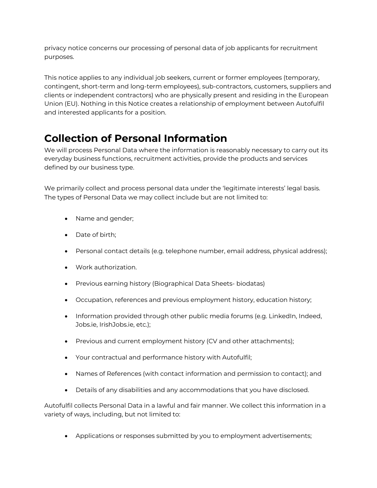privacy notice concerns our processing of personal data of job applicants for recruitment purposes.

This notice applies to any individual job seekers, current or former employees (temporary, contingent, short-term and long-term employees), sub-contractors, customers, suppliers and clients or independent contractors) who are physically present and residing in the European Union (EU). Nothing in this Notice creates a relationship of employment between Autofulfil and interested applicants for a position.

## **Collection of Personal Information**

We will process Personal Data where the information is reasonably necessary to carry out its everyday business functions, recruitment activities, provide the products and services defined by our business type.

We primarily collect and process personal data under the 'legitimate interests' legal basis. The types of Personal Data we may collect include but are not limited to:

- Name and gender;
- Date of birth;
- Personal contact details (e.g. telephone number, email address, physical address);
- Work authorization.
- Previous earning history (Biographical Data Sheets- biodatas)
- Occupation, references and previous employment history, education history;
- Information provided through other public media forums (e.g. LinkedIn, Indeed, Jobs.ie, IrishJobs.ie, etc.);
- Previous and current employment history (CV and other attachments);
- Your contractual and performance history with Autofulfil;
- Names of References (with contact information and permission to contact); and
- Details of any disabilities and any accommodations that you have disclosed.

Autofulfil collects Personal Data in a lawful and fair manner. We collect this information in a variety of ways, including, but not limited to:

• Applications or responses submitted by you to employment advertisements;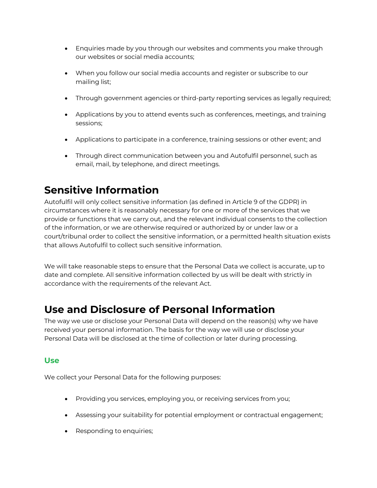- Enquiries made by you through our websites and comments you make through our websites or social media accounts;
- When you follow our social media accounts and register or subscribe to our mailing list;
- Through government agencies or third-party reporting services as legally required;
- Applications by you to attend events such as conferences, meetings, and training sessions;
- Applications to participate in a conference, training sessions or other event; and
- Through direct communication between you and Autofulfil personnel, such as email, mail, by telephone, and direct meetings.

# **Sensitive Information**

Autofulfil will only collect sensitive information (as defined in Article 9 of the GDPR) in circumstances where it is reasonably necessary for one or more of the services that we provide or functions that we carry out, and the relevant individual consents to the collection of the information, or we are otherwise required or authorized by or under law or a court/tribunal order to collect the sensitive information, or a permitted health situation exists that allows Autofulfil to collect such sensitive information.

We will take reasonable steps to ensure that the Personal Data we collect is accurate, up to date and complete. All sensitive information collected by us will be dealt with strictly in accordance with the requirements of the relevant Act.

### **Use and Disclosure of Personal Information**

The way we use or disclose your Personal Data will depend on the reason(s) why we have received your personal information. The basis for the way we will use or disclose your Personal Data will be disclosed at the time of collection or later during processing.

### **Use**

We collect your Personal Data for the following purposes:

- Providing you services, employing you, or receiving services from you;
- Assessing your suitability for potential employment or contractual engagement;
- Responding to enquiries;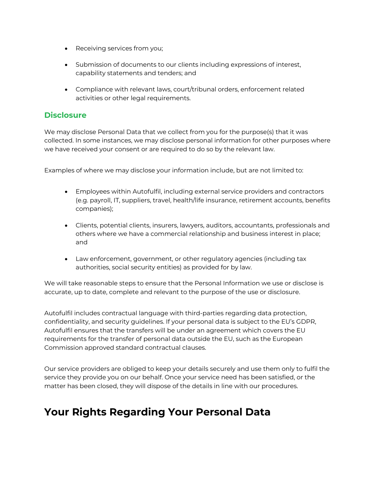- Receiving services from you;
- Submission of documents to our clients including expressions of interest, capability statements and tenders; and
- Compliance with relevant laws, court/tribunal orders, enforcement related activities or other legal requirements.

#### **Disclosure**

We may disclose Personal Data that we collect from you for the purpose(s) that it was collected. In some instances, we may disclose personal information for other purposes where we have received your consent or are required to do so by the relevant law.

Examples of where we may disclose your information include, but are not limited to:

- Employees within Autofulfil, including external service providers and contractors (e.g. payroll, IT, suppliers, travel, health/life insurance, retirement accounts, benefits companies);
- Clients, potential clients, insurers, lawyers, auditors, accountants, professionals and others where we have a commercial relationship and business interest in place; and
- Law enforcement, government, or other regulatory agencies (including tax authorities, social security entities) as provided for by law.

We will take reasonable steps to ensure that the Personal Information we use or disclose is accurate, up to date, complete and relevant to the purpose of the use or disclosure.

Autofulfil includes contractual language with third-parties regarding data protection, confidentiality, and security guidelines. If your personal data is subject to the EU's GDPR, Autofulfil ensures that the transfers will be under an agreement which covers the EU requirements for the transfer of personal data outside the EU, such as the European Commission approved standard contractual clauses.

Our service providers are obliged to keep your details securely and use them only to fulfil the service they provide you on our behalf. Once your service need has been satisfied, or the matter has been closed, they will dispose of the details in line with our procedures.

### **Your Rights Regarding Your Personal Data**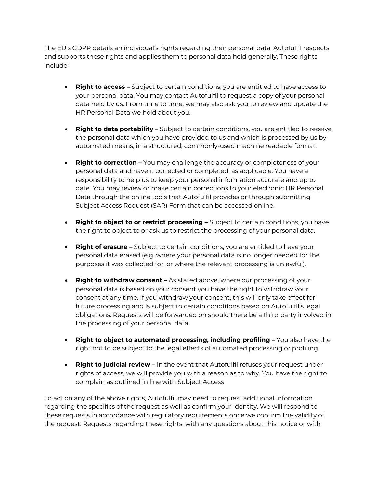The EU's GDPR details an individual's rights regarding their personal data. Autofulfil respects and supports these rights and applies them to personal data held generally. These rights include:

- **Right to access** Subject to certain conditions, you are entitled to have access to your personal data. You may contact Autofulfil to request a copy of your personal data held by us. From time to time, we may also ask you to review and update the HR Personal Data we hold about you.
- **Right to data portability –** Subject to certain conditions, you are entitled to receive the personal data which you have provided to us and which is processed by us by automated means, in a structured, commonly-used machine readable format.
- **Right to correction –** You may challenge the accuracy or completeness of your personal data and have it corrected or completed, as applicable. You have a responsibility to help us to keep your personal information accurate and up to date. You may review or make certain corrections to your electronic HR Personal Data through the online tools that Autofulfil provides or through submitting Subject Access Request (SAR) Form that can be accessed online.
- **Right to object to or restrict processing –** Subject to certain conditions, you have the right to object to or ask us to restrict the processing of your personal data.
- **Right of erasure –** Subject to certain conditions, you are entitled to have your personal data erased (e.g. where your personal data is no longer needed for the purposes it was collected for, or where the relevant processing is unlawful).
- **Right to withdraw consent –** As stated above, where our processing of your personal data is based on your consent you have the right to withdraw your consent at any time. If you withdraw your consent, this will only take effect for future processing and is subject to certain conditions based on Autofulfil's legal obligations. Requests will be forwarded on should there be a third party involved in the processing of your personal data.
- **Right to object to automated processing, including profiling –** You also have the right not to be subject to the legal effects of automated processing or profiling.
- **Right to judicial review –** In the event that Autofulfil refuses your request under rights of access, we will provide you with a reason as to why. You have the right to complain as outlined in line with Subject Access

To act on any of the above rights, Autofulfil may need to request additional information regarding the specifics of the request as well as confirm your identity. We will respond to these requests in accordance with regulatory requirements once we confirm the validity of the request. Requests regarding these rights, with any questions about this notice or with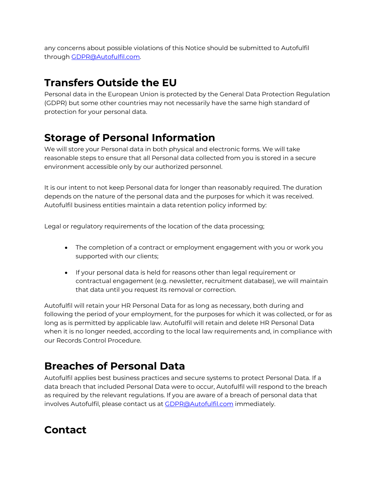any concerns about possible violations of this Notice should be submitted to Autofulfil through GDPR@Autofulfil.com.

# **Transfers Outside the EU**

Personal data in the European Union is protected by the General Data Protection Regulation (GDPR) but some other countries may not necessarily have the same high standard of protection for your personal data.

## **Storage of Personal Information**

We will store your Personal data in both physical and electronic forms. We will take reasonable steps to ensure that all Personal data collected from you is stored in a secure environment accessible only by our authorized personnel.

It is our intent to not keep Personal data for longer than reasonably required. The duration depends on the nature of the personal data and the purposes for which it was received. Autofulfil business entities maintain a data retention policy informed by:

Legal or regulatory requirements of the location of the data processing;

- The completion of a contract or employment engagement with you or work you supported with our clients;
- If your personal data is held for reasons other than legal requirement or contractual engagement (e.g. newsletter, recruitment database), we will maintain that data until you request its removal or correction.

Autofulfil will retain your HR Personal Data for as long as necessary, both during and following the period of your employment, for the purposes for which it was collected, or for as long as is permitted by applicable law. Autofulfil will retain and delete HR Personal Data when it is no longer needed, according to the local law requirements and, in compliance with our Records Control Procedure.

### **Breaches of Personal Data**

Autofulfil applies best business practices and secure systems to protect Personal Data. If a data breach that included Personal Data were to occur, Autofulfil will respond to the breach as required by the relevant regulations. If you are aware of a breach of personal data that involves Autofulfil, please contact us at GDPR@Autofulfil.com immediately.

# **Contact**